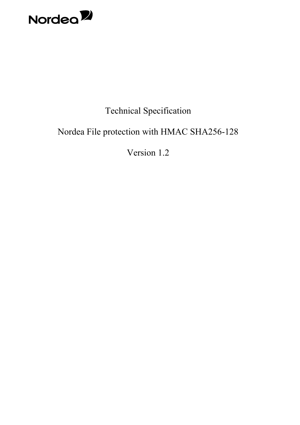

Technical Specification

# Nordea File protection with HMAC SHA256-128

Version 1.2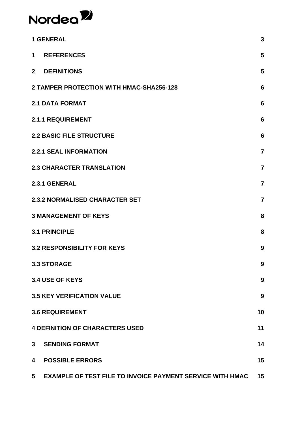

|                | <b>1 GENERAL</b>                                                 | 3               |
|----------------|------------------------------------------------------------------|-----------------|
| $\mathbf 1$    | <b>REFERENCES</b>                                                | 5               |
| 2 <sup>1</sup> | <b>DEFINITIONS</b>                                               | 5               |
|                | 2 TAMPER PROTECTION WITH HMAC-SHA256-128                         | 6               |
|                | <b>2.1 DATA FORMAT</b>                                           | 6               |
|                | <b>2.1.1 REQUIREMENT</b>                                         | $6\phantom{1}6$ |
|                | <b>2.2 BASIC FILE STRUCTURE</b>                                  | 6               |
|                | <b>2.2.1 SEAL INFORMATION</b>                                    | $\overline{7}$  |
|                | <b>2.3 CHARACTER TRANSLATION</b>                                 | $\overline{7}$  |
|                | 2.3.1 GENERAL                                                    | $\overline{7}$  |
|                | <b>2.3.2 NORMALISED CHARACTER SET</b>                            | $\overline{7}$  |
|                | <b>3 MANAGEMENT OF KEYS</b>                                      | 8               |
|                | <b>3.1 PRINCIPLE</b>                                             | 8               |
|                | <b>3.2 RESPONSIBILITY FOR KEYS</b>                               | 9               |
|                | <b>3.3 STORAGE</b>                                               | 9               |
|                | 3.4 USE OF KEYS                                                  | 9               |
|                | <b>3.5 KEY VERIFICATION VALUE</b>                                | 9               |
|                | <b>3.6 REQUIREMENT</b>                                           | 10              |
|                | <b>4 DEFINITION OF CHARACTERS USED</b>                           | 11              |
| 3              | <b>SENDING FORMAT</b>                                            | 14              |
| 4              | <b>POSSIBLE ERRORS</b>                                           | 15              |
| 5              | <b>EXAMPLE OF TEST FILE TO INVOICE PAYMENT SERVICE WITH HMAC</b> | 15              |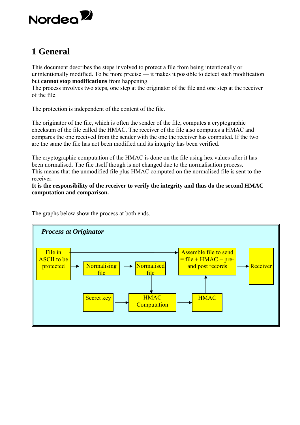

# **1 General**

This document describes the steps involved to protect a file from being intentionally or unintentionally modified. To be more precise — it makes it possible to detect such modification but **cannot stop modifications** from happening.

The process involves two steps, one step at the originator of the file and one step at the receiver of the file.

The protection is independent of the content of the file.

The originator of the file, which is often the sender of the file, computes a cryptographic checksum of the file called the HMAC. The receiver of the file also computes a HMAC and compares the one received from the sender with the one the receiver has computed. If the two are the same the file has not been modified and its integrity has been verified.

The cryptographic computation of the HMAC is done on the file using hex values after it has been normalised. The file itself though is not changed due to the normalisation process. This means that the unmodified file plus HMAC computed on the normalised file is sent to the receiver.

**It is the responsibility of the receiver to verify the integrity and thus do the second HMAC computation and comparison.** 

The graphs below show the process at both ends.

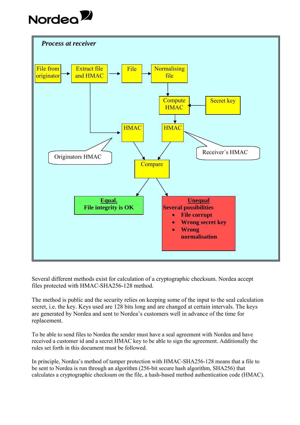



Several different methods exist for calculation of a cryptographic checksum. Nordea accept files protected with HMAC-SHA256-128 method.

The method is public and the security relies on keeping some of the input to the seal calculation secret, i.e. the key. Keys used are 128 bits long and are changed at certain intervals. The keys are generated by Nordea and sent to Nordea's customers well in advance of the time for replacement.

To be able to send files to Nordea the sender must have a seal agreement with Nordea and have received a customer id and a secret HMAC key to be able to sign the agreement. Additionally the rules set forth in this document must be followed.

In principle, Nordea's method of tamper protection with HMAC-SHA256-128 means that a file to be sent to Nordea is run through an algorithm (256-bit secure hash algorithm, SHA256) that calculates a cryptographic checksum on the file, a hash-based method authentication code (HMAC).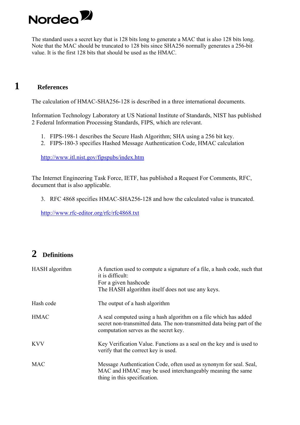# Nordea<sup>y</sup>

The standard uses a secret key that is 128 bits long to generate a MAC that is also 128 bits long. Note that the MAC should be truncated to 128 bits since SHA256 normally generates a 256-bit value. It is the first 128 bits that should be used as the HMAC.

## **1 References**

The calculation of HMAC-SHA256-128 is described in a three international documents.

Information Technology Laboratory at US National Institute of Standards, NIST has published 2 Federal Information Processing Standards, FIPS, which are relevant.

- 1. FIPS-198-1 describes the Secure Hash Algorithm; SHA using a 256 bit key.
- 2. FIPS-180-3 specifies Hashed Message Authentication Code, HMAC calculation

http://www.itl.nist.gov/fipspubs/index.htm

The Internet Engineering Task Force, IETF, has published a Request For Comments, RFC, document that is also applicable.

3. RFC 4868 specifies HMAC-SHA256-128 and how the calculated value is truncated.

http://www.rfc-editor.org/rfc/rfc4868.txt

## **2 Definitions**

| HASH algorithm | A function used to compute a signature of a file, a hash code, such that<br>it is difficult:<br>For a given hashcode<br>The HASH algorithm itself does not use any keys.             |
|----------------|--------------------------------------------------------------------------------------------------------------------------------------------------------------------------------------|
| Hash code      | The output of a hash algorithm                                                                                                                                                       |
| <b>HMAC</b>    | A seal computed using a hash algorithm on a file which has added<br>secret non-transmitted data. The non-transmitted data being part of the<br>computation serves as the secret key. |
| <b>KVV</b>     | Key Verification Value. Functions as a seal on the key and is used to<br>verify that the correct key is used.                                                                        |
| MAC            | Message Authentication Code, often used as synonym for seal. Seal,<br>MAC and HMAC may be used interchangeably meaning the same<br>thing in this specification.                      |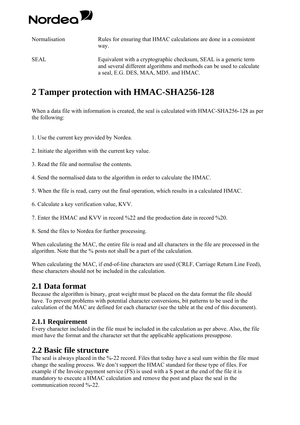

| Normalisation | Rules for ensuring that HMAC calculations are done in a consistent<br>way.                                                                                                         |
|---------------|------------------------------------------------------------------------------------------------------------------------------------------------------------------------------------|
| SEAL          | Equivalent with a cryptographic checksum, SEAL is a generic term<br>and several different algorithms and methods can be used to calculate<br>a seal, E.G. DES, MAA, MD5. and HMAC. |

## **2 Tamper protection with HMAC-SHA256-128**

When a data file with information is created, the seal is calculated with HMAC-SHA256-128 as per the following:

- 1. Use the current key provided by Nordea.
- 2. Initiate the algorithm with the current key value.
- 3. Read the file and normalise the contents.
- 4. Send the normalised data to the algorithm in order to calculate the HMAC.
- 5. When the file is read, carry out the final operation, which results in a calculated HMAC.
- 6. Calculate a key verification value, KVV.
- 7. Enter the HMAC and KVV in record %22 and the production date in record %20.
- 8. Send the files to Nordea for further processing.

When calculating the MAC, the entire file is read and all characters in the file are processed in the algorithm. Note that the % posts not shall be a part of the calculation.

When calculating the MAC, if end-of-line characters are used (CRLF, Carriage Return Line Feed), these characters should not be included in the calculation.

#### **2.1 Data format**

Because the algorithm is binary, great weight must be placed on the data format the file should have. To prevent problems with potential character conversions, bit patterns to be used in the calculation of the MAC are defined for each character (see the table at the end of this document).

#### **2.1.1 Requirement**

Every character included in the file must be included in the calculation as per above. Also, the file must have the format and the character set that the applicable applications presuppose.

#### **2.2 Basic file structure**

The seal is always placed in the %-22 record. Files that today have a seal sum within the file must change the sealing process. We don't support the HMAC standard for these type of files. For example if the Invoice payment service (FS) is used with a S post at the end of the file it is mandatory to execute a HMAC calculation and remove the post and place the seal in the communication record %-22.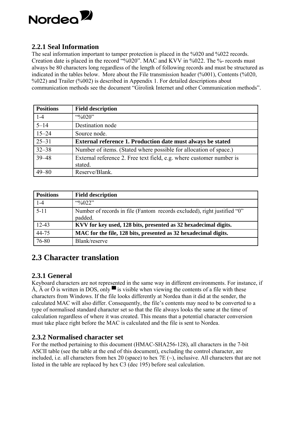

#### **2.2.1 Seal Information**

The seal information important to tamper protection is placed in the %020 and %022 records. Creation date is placed in the record "%020". MAC and KVV in %022. The %- records must always be 80 characters long regardless of the length of following records and must be structured as indicated in the tables below. More about the File transmission header (%001), Contents (%020, %022) and Trailer (%002) is described in Appendix 1. For detailed descriptions about communication methods see the document "Girolink Internet and other Communication methods".

| <b>Positions</b> | <b>Field description</b>                                             |
|------------------|----------------------------------------------------------------------|
| $1-4$            | "%020"                                                               |
| $5 - 14$         | Destination node                                                     |
| $15 - 24$        | Source node.                                                         |
| $25 - 31$        | External reference 1. Production date must always be stated          |
| $32 - 38$        | Number of items. (Stated where possible for allocation of space.)    |
| $39 - 48$        | External reference 2. Free text field, e.g. where customer number is |
|                  | stated.                                                              |
| $49 - 80$        | Reserve/Blank.                                                       |

| <b>Positions</b> | <b>Field description</b>                                                            |
|------------------|-------------------------------------------------------------------------------------|
| $1-4$            | "%022"                                                                              |
| $5 - 11$         | Number of records in file (Fantom records excluded), right justified "0"<br>padded. |
| $12 - 43$        | KVV for key used, 128 bits, presented as 32 hexadecimal digits.                     |
| 44-75            | MAC for the file, 128 bits, presented as 32 hexadecimal digits.                     |
| 76-80            | Blank/reserve                                                                       |

#### **2.3 Character translation**

#### **2.3.1 General**

Keyboard characters are not represented in the same way in different environments. For instance, if Å,  $\ddot{A}$  or  $\ddot{O}$  is written in DOS, only  $\blacksquare$  is visible when viewing the contents of a file with these characters from Windows. If the file looks differently at Nordea than it did at the sender, the calculated MAC will also differ. Consequently, the file's contents may need to be converted to a type of normalised standard character set so that the file always looks the same at the time of calculation regardless of where it was created. This means that a potential character conversion must take place right before the MAC is calculated and the file is sent to Nordea.

#### **2.3.2 Normalised character set**

For the method pertaining to this document (HMAC-SHA256-128), all characters in the 7-bit ASCII table (see the table at the end of this document), excluding the control character, are included, i.e. all characters from hex 20 (space) to hex  $7E (\sim)$ , inclusive. All characters that are not listed in the table are replaced by hex C3 (dec 195) before seal calculation.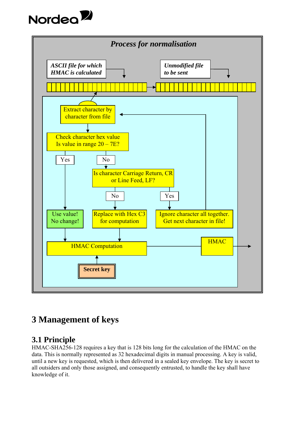



# **3 Management of keys**

#### **3.1 Principle**

HMAC-SHA256-128 requires a key that is 128 bits long for the calculation of the HMAC on the data. This is normally represented as 32 hexadecimal digits in manual processing. A key is valid, until a new key is requested, which is then delivered in a sealed key envelope. The key is secret to all outsiders and only those assigned, and consequently entrusted, to handle the key shall have knowledge of it.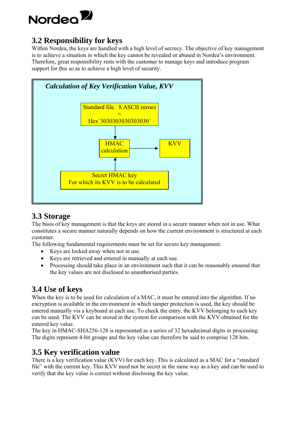

## **3.2 Responsibility for keys**

Within Nordea, the keys are handled with a high level of secrecy. The objective of key management is to achieve a situation in which the key cannot be revealed or abused in Nordea's environment. Therefore, great responsibility rests with the customer to manage keys and introduce program support for this so as to achieve a high level of security.



## **3.3 Storage**

The basis of key management is that the keys are stored in a secure manner when not in use. What constitutes a secure manner naturally depends on how the current environment is structured at each customer.

The following fundamental requirements must be set for secure key management:

- Keys are locked away when not in use.
- Keys are retrieved and entered in manually at each use.
- Processing should take place in an environment such that it can be reasonably ensured that the key values are not disclosed to unauthorised parties.

## **3.4 Use of keys**

When the key is to be used for calculation of a MAC, it must be entered into the algorithm. If no encryption is available in the environment in which tamper protection is used, the key should be entered manually via a keyboard at each use. To check the entry, the KVV belonging to each key can be used. The KVV can be stored in the system for comparison with the KVV obtained for the entered key value.

The key in HMAC-SHA256-128 is represented as a series of 32 hexadecimal digits in processing. The digits represent 4-bit groups and the key value can therefore be said to comprise 128 bits.

#### **3.5 Key verification value**

There is a key verification value (KVV) for each key. This is calculated as a MAC for a "standard file" with the current key. This KVV need not be secret in the same way as a key and can be used to verify that the key value is correct without disclosing the key value.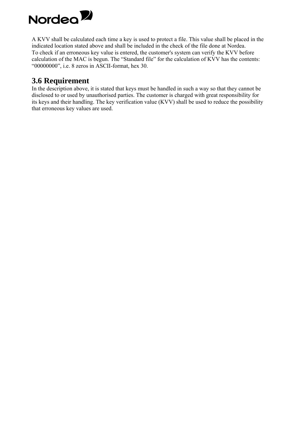

A KVV shall be calculated each time a key is used to protect a file. This value shall be placed in the indicated location stated above and shall be included in the check of the file done at Nordea. To check if an erroneous key value is entered, the customer's system can verify the KVV before calculation of the MAC is begun. The "Standard file" for the calculation of KVV has the contents: "00000000", i.e. 8 zeros in ASCII-format, hex 30.

#### **3.6 Requirement**

In the description above, it is stated that keys must be handled in such a way so that they cannot be disclosed to or used by unauthorised parties. The customer is charged with great responsibility for its keys and their handling. The key verification value (KVV) shall be used to reduce the possibility that erroneous key values are used.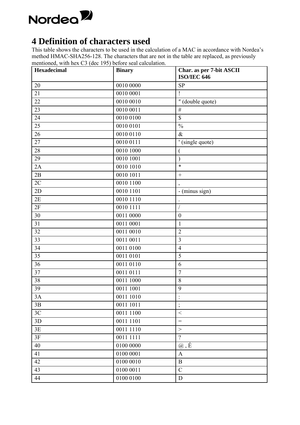

## **4 Definition of characters used**

This table shows the characters to be used in the calculation of a MAC in accordance with Nordea's method HMAC-SHA256-128. The characters that are not in the table are replaced, as previously mentioned, with hex C3 (dec 195) before seal calculation.

| <b>Hexadecimal</b> | <b>Binary</b> | Char. as per 7-bit ASCII<br><b>ISO/IEC 646</b> |  |  |  |  |  |
|--------------------|---------------|------------------------------------------------|--|--|--|--|--|
| 20                 | 0010 0000     | <b>SP</b>                                      |  |  |  |  |  |
| 21                 | 0010 0001     | Ţ                                              |  |  |  |  |  |
| 22                 | 0010 0010     | " (double quote)                               |  |  |  |  |  |
| 23                 | 0010 0011     | $\#$                                           |  |  |  |  |  |
| 24                 | 0010 0100     | \$                                             |  |  |  |  |  |
| 25                 | 0010 0101     | $\frac{0}{0}$                                  |  |  |  |  |  |
| 26                 | 0010 0110     | $\&$                                           |  |  |  |  |  |
| 27                 | 0010 0111     | ' (single quote)                               |  |  |  |  |  |
| 28                 | 0010 1000     |                                                |  |  |  |  |  |
| 29                 | 0010 1001     |                                                |  |  |  |  |  |
| 2A                 | 0010 1010     | $\ast$                                         |  |  |  |  |  |
| 2B                 | 0010 1011     |                                                |  |  |  |  |  |
| 2C                 | 0010 1100     |                                                |  |  |  |  |  |
| 2D                 | 0010 1101     | - (minus sign)                                 |  |  |  |  |  |
| 2E                 | 0010 1110     | $\bullet$                                      |  |  |  |  |  |
| 2F                 | 0010 1111     | $\sqrt{2}$                                     |  |  |  |  |  |
| 30                 | 0011 0000     | $\boldsymbol{0}$                               |  |  |  |  |  |
| 31                 | 0011 0001     | $\mathbf{1}$                                   |  |  |  |  |  |
| 32                 | 0011 0010     | $\overline{2}$                                 |  |  |  |  |  |
| 33                 | 0011 0011     | 3                                              |  |  |  |  |  |
| 34                 | 0011 0100     | $\overline{4}$                                 |  |  |  |  |  |
| 35                 | 0011 0101     | 5                                              |  |  |  |  |  |
| 36                 | 0011 0110     | 6                                              |  |  |  |  |  |
| 37                 | 0011 0111     | $\overline{7}$                                 |  |  |  |  |  |
| 38                 | 0011 1000     | $\,8\,$                                        |  |  |  |  |  |
| 39                 | 0011 1001     | 9                                              |  |  |  |  |  |
| 3A                 | 0011 1010     | $\ddot{\cdot}$                                 |  |  |  |  |  |
| 3B                 | 0011 1011     | $\Box$<br>$\blacktriangleright$                |  |  |  |  |  |
| 3C                 | 0011 1100     | $\,<$                                          |  |  |  |  |  |
| 3D                 | 0011 1101     | $\!\!\!=\!\!\!\!$                              |  |  |  |  |  |
| 3E                 | 0011 1110     | $\,>$                                          |  |  |  |  |  |
| 3F                 | 0011 1111     | $\overline{?}$                                 |  |  |  |  |  |
| 40                 | 0100 0000     | $@$ , $\mathrm{\acute{E}}$                     |  |  |  |  |  |
| 41                 | 0100 0001     | $\mathbf{A}$                                   |  |  |  |  |  |
| 42                 | 0100 0010     | $\bf{B}$                                       |  |  |  |  |  |
| 43                 | 0100 0011     | $\mathcal{C}$                                  |  |  |  |  |  |
| 44                 | 0100 0100     | $\mathbf D$                                    |  |  |  |  |  |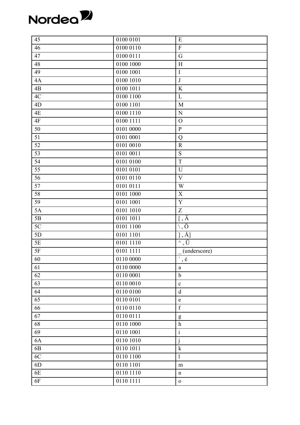

| 45              | 0100 0101 | ${\bf E}$                                |
|-----------------|-----------|------------------------------------------|
| 46              | 0100 0110 | ${\bf F}$                                |
| 47              | 0100 0111 | $\overline{G}$                           |
| 48              | 0100 1000 | H                                        |
| 49              | 0100 1001 | $\bf I$                                  |
| 4A              | 0100 1010 | $\bf J$                                  |
| 4B              | 0100 1011 | $\bf K$                                  |
| 4C              | 0100 1100 | L                                        |
| 4D              | 0100 1101 | M                                        |
| $4E$            | 0100 1110 | $\mathbf N$                              |
| 4F              | 0100 1111 | $\mathcal{O}$                            |
| 50              | 0101 0000 | $\mathbf{P}$                             |
| 51              | 0101 0001 | Q                                        |
| 52              | 0101 0010 | $\mathbf R$                              |
| 53              | 0101 0011 | S                                        |
| 54              | 0101 0100 | $\overline{T}$                           |
| 55              | 0101 0101 | U                                        |
| 56              | 0101 0110 | $\overline{\mathbf{V}}$                  |
| $\overline{57}$ | 0101 0111 | W                                        |
| 58              | 0101 1000 | $\mathbf X$                              |
| 59              | 0101 1001 | $\mathbf Y$                              |
| 5A              | 0101 1010 | $\overline{Z}$                           |
| 5B              | 0101 1011 | $[ , \ddot{A}$                           |
| 5C              | 0101 1100 | $\setminus, \overline{O}$                |
| 5D              | 0101 1101 | $\overline{]}$ , $\overline{A}$          |
| $5E$            | 0101 1110 | $^\wedge$ , Ü                            |
| 5F              | 0101 1111 | (underscore)                             |
| 60              | 0110 0000 | $\mathcal{A}$<br>$\dot{\phantom{a}}$ , é |
| 61              | 0110 0000 | a                                        |
| 62              | 0110 0001 | $\mathbf b$                              |
| 63              | 0110 0010 | $\mathbf c$                              |
| 64              | 0110 0100 | $\rm d$                                  |
| 65              | 0110 0101 | ${\bf e}$                                |
| 66              | 0110 0110 | f                                        |
| 67              | 0110 0111 | g                                        |
| 68              | 0110 1000 | $\mathbf h$                              |
| 69              | 0110 1001 | $\mathbf{i}$                             |
| 6A              | 0110 1010 | $\mathbf{j}$                             |
| 6 <sub>B</sub>  | 0110 1011 | $\mathbf k$                              |
| 6C              | 0110 1100 | $\mathbf{1}$                             |
| 6D              | 0110 1101 | m                                        |
| 6E              | 0110 1110 | $\mathbf n$                              |
| 6F              | 0110 1111 | $\mathbf O$                              |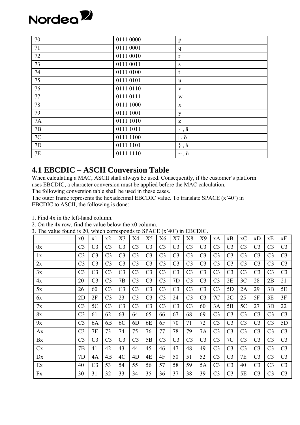

| 70        | 0111 0000 | p                             |
|-----------|-----------|-------------------------------|
| 71        | 0111 0001 | q                             |
| 72        | 0111 0010 | $\mathbf{r}$                  |
| 73        | 0111 0011 | S                             |
| 74        | 0111 0100 | t                             |
| 75        | 0111 0101 | u                             |
| 76        | 0111 0110 | V                             |
| 77        | 0111 0111 | W                             |
| 78        | 0111 1000 | X                             |
| 79        | 0111 1001 | y                             |
| <b>7A</b> | 0111 1010 | Z                             |
| 7B        | 0111 1011 | $\{$ , $\ddot{a}$             |
| 7C        | 0111 1100 | $\vert$ , $\ddot{\mathrm{o}}$ |
| 7D        | 0111 1101 | $\}$ , å                      |
| <b>7E</b> | 0111 1110 | $\sim$ , ü                    |

#### **4.1 EBCDIC – ASCII Conversion Table**

When calculating a MAC, ASCII shall always be used. Consequently, if the customer's platform uses EBCDIC, a character conversion must be applied before the MAC calculation. The following conversion table shall be used in these cases.

The outer frame represents the hexadecimal EBCDIC value. To translate SPACE (x'40') in EBCDIC to ASCII, the following is done:

1. Find 4x in the left-hand column.

2. On the 4x row, find the value below the x0 column.

3. The value found is 20, which corresponds to SPACE (x'40') in EBCDIC.

|    | x0             | x1              | x2             | X3             | X4             | X5             | X <sub>6</sub> | X7             | X <sup>8</sup> | X9             | xА             | xB             | xC             | xD             | xE             | xF             |
|----|----------------|-----------------|----------------|----------------|----------------|----------------|----------------|----------------|----------------|----------------|----------------|----------------|----------------|----------------|----------------|----------------|
| 0x | C <sub>3</sub> | $\overline{C}3$ | C <sub>3</sub> | C <sub>3</sub> | C <sub>3</sub> | C <sub>3</sub> | C <sub>3</sub> | C <sub>3</sub> | C <sub>3</sub> | C <sub>3</sub> | C <sub>3</sub> | C <sub>3</sub> | C <sub>3</sub> | C <sub>3</sub> | C <sub>3</sub> | C <sub>3</sub> |
| 1x | C <sub>3</sub> | $\overline{C}3$ | C <sub>3</sub> | C <sub>3</sub> | C <sub>3</sub> | C <sub>3</sub> | C <sub>3</sub> | C <sub>3</sub> | C <sub>3</sub> | C <sub>3</sub> | C <sub>3</sub> | C <sub>3</sub> | C <sub>3</sub> | C <sub>3</sub> | C <sub>3</sub> | C <sub>3</sub> |
| 2x | C <sub>3</sub> | C3              | C <sub>3</sub> | C <sub>3</sub> | C <sub>3</sub> | C3             | C <sub>3</sub> | C <sub>3</sub> | C <sub>3</sub> | C <sub>3</sub> | C <sub>3</sub> | C <sub>3</sub> | C <sub>3</sub> | C <sub>3</sub> | C <sub>3</sub> | C <sub>3</sub> |
| 3x | C <sub>3</sub> | C <sub>3</sub>  | C <sub>3</sub> | C <sub>3</sub> | C <sub>3</sub> | C <sub>3</sub> | C <sub>3</sub> | C <sub>3</sub> | C <sub>3</sub> | C <sub>3</sub> | C <sub>3</sub> | C <sub>3</sub> | C <sub>3</sub> | C <sub>3</sub> | C <sub>3</sub> | C <sub>3</sub> |
| 4x | 20             | $\overline{C}3$ | C <sub>3</sub> | 7B             | C <sub>3</sub> | C <sub>3</sub> | C <sub>3</sub> | 7D             | C <sub>3</sub> | C <sub>3</sub> | C <sub>3</sub> | 2E             | 3C             | 28             | 2B             | 21             |
| 5x | 26             | 60              | C <sub>3</sub> | C <sub>3</sub> | C <sub>3</sub> | C3             | C <sub>3</sub> | C <sub>3</sub> | C <sub>3</sub> | C <sub>3</sub> | C <sub>3</sub> | 5D             | 2A             | 29             | 3B             | 5E             |
| 6x | 2D             | 2F              | C <sub>3</sub> | 23             | C <sub>3</sub> | C <sub>3</sub> | C <sub>3</sub> | 24             | C <sub>3</sub> | C <sub>3</sub> | 7C             | 2C             | 25             | 5F             | 3E             | 3F             |
| 7x | C <sub>3</sub> | 5C              | C <sub>3</sub> | C <sub>3</sub> | C <sub>3</sub> | C <sub>3</sub> | C <sub>3</sub> | C <sub>3</sub> | C <sub>3</sub> | 60             | 3A             | 5B             | 5C             | 27             | 3D             | 22             |
| 8x | C <sub>3</sub> | 61              | 62             | 63             | 64             | 65             | 66             | 67             | 68             | 69             | C <sub>3</sub> | C <sub>3</sub> | C <sub>3</sub> | C <sub>3</sub> | C <sub>3</sub> | C <sub>3</sub> |
| 9x | C <sub>3</sub> | 6A              | 6B             | 6C             | 6 <sub>D</sub> | 6E             | 6F             | 70             | 71             | 72             | C <sub>3</sub> | C <sub>3</sub> | C <sub>3</sub> | C <sub>3</sub> | C <sub>3</sub> | 5D             |
| Ax | C <sub>3</sub> | <b>7E</b>       | 73             | 74             | 75             | 76             | 77             | 78             | 79             | <b>7A</b>      | C <sub>3</sub> | C <sub>3</sub> | C <sub>3</sub> | C <sub>3</sub> | C <sub>3</sub> | C <sub>3</sub> |
| Bx | C <sub>3</sub> | C3              | C <sub>3</sub> | C <sub>3</sub> | C <sub>3</sub> | 5B             | C <sub>3</sub> | C <sub>3</sub> | C <sub>3</sub> | C <sub>3</sub> | C <sub>3</sub> | 7C             | C <sub>3</sub> | C <sub>3</sub> | C <sub>3</sub> | C <sub>3</sub> |
| Cx | 7B             | 41              | 42             | 43             | 44             | 45             | 46             | 47             | 48             | 49             | C <sub>3</sub> | C <sub>3</sub> | C <sub>3</sub> | C <sub>3</sub> | C <sub>3</sub> | C <sub>3</sub> |
| Dx | 7D             | 4A              | 4B             | 4C             | 4 <sub>D</sub> | 4E             | 4F             | 50             | 51             | 52             | C <sub>3</sub> | C <sub>3</sub> | <b>7E</b>      | C <sub>3</sub> | C <sub>3</sub> | C <sub>3</sub> |
| Ex | 40             | $\overline{C}3$ | 53             | 54             | 55             | 56             | 57             | 58             | 59             | 5A             | C <sub>3</sub> | C <sub>3</sub> | 40             | C <sub>3</sub> | C <sub>3</sub> | C <sub>3</sub> |
| Fx | 30             | 31              | 32             | 33             | 34             | 35             | 36             | 37             | 38             | 39             | C <sub>3</sub> | C <sub>3</sub> | 5E             | C <sub>3</sub> | C <sub>3</sub> | C <sub>3</sub> |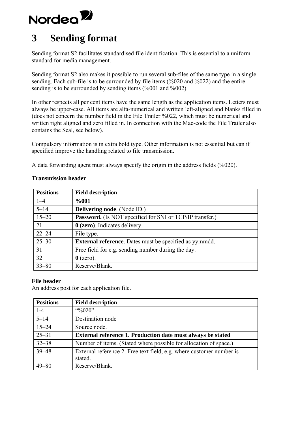

# **3 Sending format**

Sending format S2 facilitates standardised file identification. This is essential to a uniform standard for media management.

Sending format S2 also makes it possible to run several sub-files of the same type in a single sending. Each sub-file is to be surrounded by file items (%020 and %022) and the entire sending is to be surrounded by sending items (%001 and %002).

In other respects all per cent items have the same length as the application items. Letters must always be upper-case. All items are alfa-numerical and written left-aligned and blanks filled in (does not concern the number field in the File Trailer %022, which must be numerical and written right aligned and zero filled in. In connection with the Mac-code the File Trailer also contains the Seal, see below).

Compulsory information is in extra bold type. Other information is not essential but can if specified improve the handling related to file transmission.

A data forwarding agent must always specify the origin in the address fields (%020).

| <b>Transmission header</b> |
|----------------------------|
|----------------------------|

| <b>Positions</b> | <b>Field description</b>                                       |
|------------------|----------------------------------------------------------------|
| $1 - 4$          | %001                                                           |
| $5 - 14$         | <b>Delivering node.</b> (Node ID.)                             |
| $15 - 20$        | Password. (Is NOT specified for SNI or TCP/IP transfer.)       |
| 21               | 0 (zero). Indicates delivery.                                  |
| $22 - 24$        | File type.                                                     |
| $25 - 30$        | <b>External reference</b> . Dates must be specified as yymmdd. |
| 31               | Free field for e.g. sending number during the day.             |
| 32               | $\mathbf{0}$ (zero).                                           |
| $33 - 80$        | Reserve/Blank.                                                 |

#### **File header**

An address post for each application file.

| <b>Positions</b> | <b>Field description</b>                                                        |
|------------------|---------------------------------------------------------------------------------|
| $1-4$            | "%020"                                                                          |
| $5 - 14$         | Destination node                                                                |
| $15 - 24$        | Source node.                                                                    |
| $25 - 31$        | External reference 1. Production date must always be stated                     |
| $32 - 38$        | Number of items. (Stated where possible for allocation of space.)               |
| $39 - 48$        | External reference 2. Free text field, e.g. where customer number is<br>stated. |
| $49 - 80$        | Reserve/Blank.                                                                  |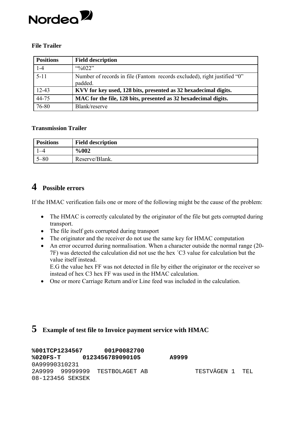

#### **File Trailer**

| <b>Positions</b> | <b>Field description</b>                                                            |
|------------------|-------------------------------------------------------------------------------------|
| $1-4$            | "%022"                                                                              |
| $5 - 11$         | Number of records in file (Fantom records excluded), right justified "0"<br>padded. |
| $12 - 43$        | KVV for key used, 128 bits, presented as 32 hexadecimal digits.                     |
| 44-75            | MAC for the file, 128 bits, presented as 32 hexadecimal digits.                     |
| 76-80            | Blank/reserve                                                                       |

#### **Transmission Trailer**

| <b>Positions</b> | <b>Field description</b> |
|------------------|--------------------------|
|                  | %002                     |
| $-80$            | Reserve/Blank.           |

## **4 Possible errors**

If the HMAC verification fails one or more of the following might be the cause of the problem:

- The HMAC is correctly calculated by the originator of the file but gets corrupted during transport.
- The file itself gets corrupted during transport
- The originator and the receiver do not use the same key for HMAC computation
- An error occurred during normalisation. When a character outside the normal range (20-7F) was detected the calculation did not use the hex ´C3 value for calculation but the value itself instead.

E.G the value hex FF was not detected in file by either the originator or the receiver so instead of hex C3 hex FF was used in the HMAC calculation.

• One or more Carriage Return and/or Line feed was included in the calculation.

## **5 Example of test file to Invoice payment service with HMAC**

**%001TCP1234567 001P0082700 %020FS-T 0123456789090105 A9999**  0A99990310231 2A9999 99999999 TESTBOLAGET AB TESTVÄGEN 1 TEL 08-123456 SEKSEK